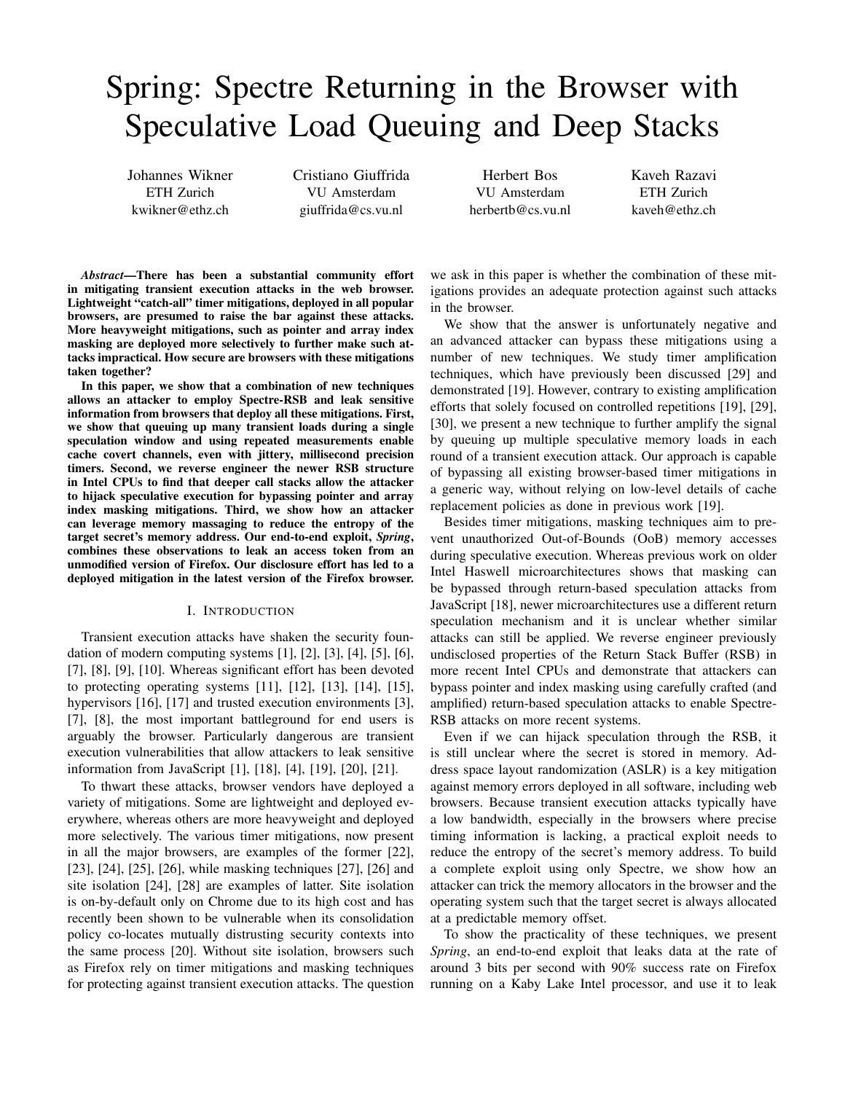# Spring: Spectre Returning in the Browser with Speculative Load Queuing and Deep Stacks

Johannes Wikner ETH Zurich kwikner@ethz.ch

Cristiano Giuffrida VU Amsterdam giuffrida@cs.vu.nl

Herbert Bos VU Amsterdam herbertb@cs.vu.nl Kaveh Razavi ETH Zurich kaveh@ethz.ch

*Abstract*—There has been a substantial community effort in mitigating transient execution attacks in the web browser. Lightweight "catch-all" timer mitigations, deployed in all popular browsers, are presumed to raise the bar against these attacks. More heavyweight mitigations, such as pointer and array index masking are deployed more selectively to further make such attacks impractical. How secure are browsers with these mitigations taken together?

In this paper, we show that a combination of new techniques allows an attacker to employ Spectre-RSB and leak sensitive information from browsers that deploy all these mitigations. First, we show that queuing up many transient loads during a single speculation window and using repeated measurements enable cache covert channels, even with jittery, millisecond precision timers. Second, we reverse engineer the newer RSB structure in Intel CPUs to find that deeper call stacks allow the attacker to hijack speculative execution for bypassing pointer and array index masking mitigations. Third, we show how an attacker can leverage memory massaging to reduce the entropy of the target secret's memory address. Our end-to-end exploit, *Spring*, combines these observations to leak an access token from an unmodified version of Firefox. Our disclosure effort has led to a deployed mitigation in the latest version of the Firefox browser.

#### I. INTRODUCTION

Transient execution attacks have shaken the security foundation of modern computing systems [1], [2], [3], [4], [5], [6], [7], [8], [9], [10]. Whereas significant effort has been devoted to protecting operating systems [11], [12], [13], [14], [15], hypervisors [16], [17] and trusted execution environments [3], [7], [8], the most important battleground for end users is arguably the browser. Particularly dangerous are transient execution vulnerabilities that allow attackers to leak sensitive information from JavaScript [1], [18], [4], [19], [20], [21].

To thwart these attacks, browser vendors have deployed a variety of mitigations. Some are lightweight and deployed everywhere, whereas others are more heavyweight and deployed more selectively. The various timer mitigations, now present in all the major browsers, are examples of the former [22], [23], [24], [25], [26], while masking techniques [27], [26] and site isolation [24], [28] are examples of latter. Site isolation is on-by-default only on Chrome due to its high cost and has recently been shown to be vulnerable when its consolidation policy co-locates mutually distrusting security contexts into the same process [20]. Without site isolation, browsers such as Firefox rely on timer mitigations and masking techniques for protecting against transient execution attacks. The question

we ask in this paper is whether the combination of these mitigations provides an adequate protection against such attacks in the browser.

We show that the answer is unfortunately negative and an advanced attacker can bypass these mitigations using a number of new techniques. We study timer amplification techniques, which have previously been discussed [29] and demonstrated [19]. However, contrary to existing amplification efforts that solely focused on controlled repetitions [19], [29], [30], we present a new technique to further amplify the signal by queuing up multiple speculative memory loads in each round of a transient execution attack. Our approach is capable of bypassing all existing browser-based timer mitigations in a generic way, without relying on low-level details of cache replacement policies as done in previous work [19].

Besides timer mitigations, masking techniques aim to prevent unauthorized Out-of-Bounds (OoB) memory accesses during speculative execution. Whereas previous work on older Intel Haswell microarchitectures shows that masking can be bypassed through return-based speculation attacks from JavaScript [18], newer microarchitectures use a different return speculation mechanism and it is unclear whether similar attacks can still be applied. We reverse engineer previously undisclosed properties of the Return Stack Buffer (RSB) in more recent Intel CPUs and demonstrate that attackers can bypass pointer and index masking using carefully crafted (and amplified) return-based speculation attacks to enable Spectre-RSB attacks on more recent systems.

Even if we can hijack speculation through the RSB, it is still unclear where the secret is stored in memory. Address space layout randomization (ASLR) is a key mitigation against memory errors deployed in all software, including web browsers. Because transient execution attacks typically have a low bandwidth, especially in the browsers where precise timing information is lacking, a practical exploit needs to reduce the entropy of the secret's memory address. To build a complete exploit using only Spectre, we show how an attacker can trick the memory allocators in the browser and the operating system such that the target secret is always allocated at a predictable memory offset.

To show the practicality of these techniques, we present *Spring*, an end-to-end exploit that leaks data at the rate of around 3 bits per second with 90% success rate on Firefox running on a Kaby Lake Intel processor, and use it to leak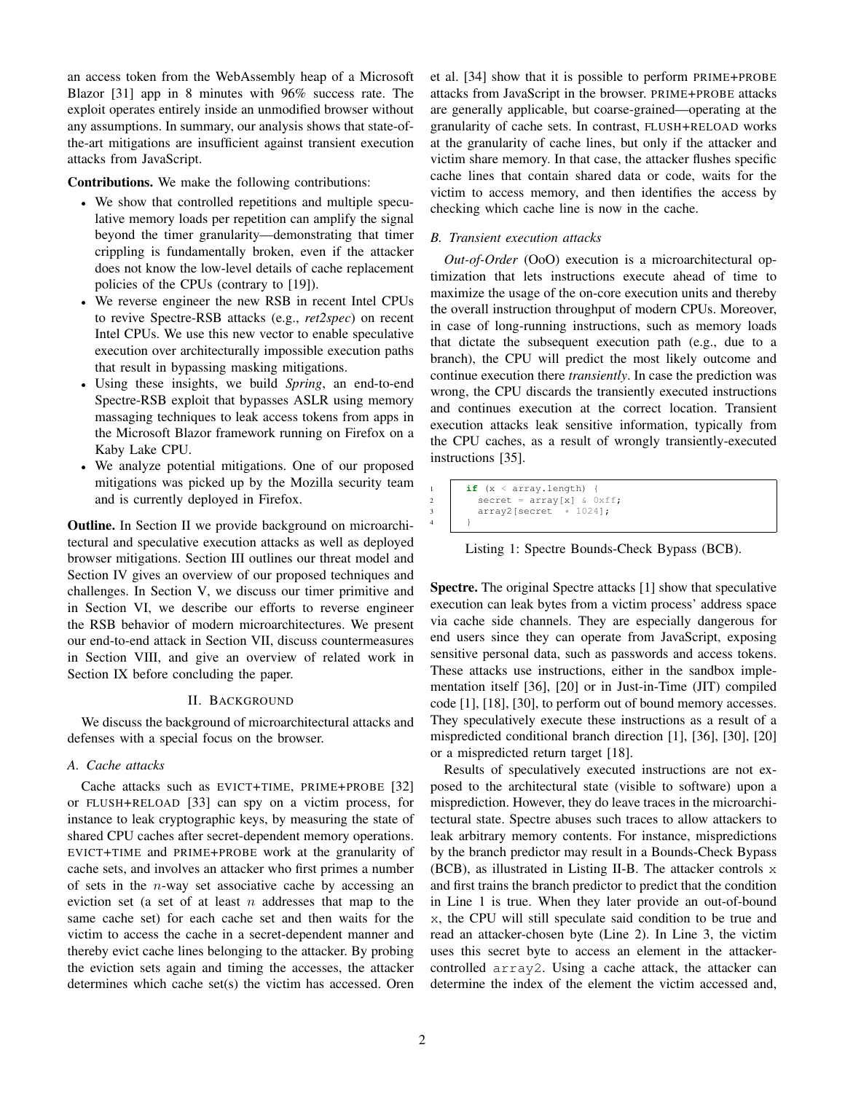an access token from the WebAssembly heap of a Microsoft Blazor [31] app in 8 minutes with 96% success rate. The exploit operates entirely inside an unmodified browser without any assumptions. In summary, our analysis shows that state-ofthe-art mitigations are insufficient against transient execution attacks from JavaScript.

Contributions. We make the following contributions:

- a We show that controlled repetitions and multiple speculative memory loads per repetition can amplify the signal beyond the timer granularity—demonstrating that timer crippling is fundamentally broken, even if the attacker does not know the low-level details of cache replacement policies of the CPUs (contrary to [19]).
- a We reverse engineer the new RSB in recent Intel CPUs to revive Spectre-RSB attacks (e.g., *ret2spec*) on recent Intel CPUs. We use this new vector to enable speculative execution over architecturally impossible execution paths that result in bypassing masking mitigations.
- a Using these insights, we build *Spring*, an end-to-end Spectre-RSB exploit that bypasses ASLR using memory massaging techniques to leak access tokens from apps in the Microsoft Blazor framework running on Firefox on a Kaby Lake CPU.
- a We analyze potential mitigations. One of our proposed mitigations was picked up by the Mozilla security team and is currently deployed in Firefox.

Outline. In Section II we provide background on microarchitectural and speculative execution attacks as well as deployed browser mitigations. Section III outlines our threat model and Section IV gives an overview of our proposed techniques and challenges. In Section V, we discuss our timer primitive and in Section VI, we describe our efforts to reverse engineer the RSB behavior of modern microarchitectures. We present our end-to-end attack in Section VII, discuss countermeasures in Section VIII, and give an overview of related work in Section IX before concluding the paper.

## II. BACKGROUND

We discuss the background of microarchitectural attacks and defenses with a special focus on the browser.

# *A. Cache attacks*

Cache attacks such as EVICT+TIME, PRIME+PROBE [32] or FLUSH+RELOAD [33] can spy on a victim process, for instance to leak cryptographic keys, by measuring the state of shared CPU caches after secret-dependent memory operations. EVICT+TIME and PRIME+PROBE work at the granularity of cache sets, and involves an attacker who first primes a number of sets in the  $n$ -way set associative cache by accessing an eviction set (a set of at least  $n$  addresses that map to the same cache set) for each cache set and then waits for the victim to access the cache in a secret-dependent manner and thereby evict cache lines belonging to the attacker. By probing the eviction sets again and timing the accesses, the attacker determines which cache set(s) the victim has accessed. Oren et al. [34] show that it is possible to perform PRIME+PROBE attacks from JavaScript in the browser. PRIME+PROBE attacks are generally applicable, but coarse-grained—operating at the granularity of cache sets. In contrast, FLUSH+RELOAD works at the granularity of cache lines, but only if the attacker and victim share memory. In that case, the attacker flushes specific cache lines that contain shared data or code, waits for the victim to access memory, and then identifies the access by checking which cache line is now in the cache.

## *B. Transient execution attacks*

*Out-of-Order* (OoO) execution is a microarchitectural optimization that lets instructions execute ahead of time to maximize the usage of the on-core execution units and thereby the overall instruction throughput of modern CPUs. Moreover, in case of long-running instructions, such as memory loads that dictate the subsequent execution path (e.g., due to a branch), the CPU will predict the most likely outcome and continue execution there *transiently*. In case the prediction was wrong, the CPU discards the transiently executed instructions and continues execution at the correct location. Transient execution attacks leak sensitive information, typically from the CPU caches, as a result of wrongly transiently-executed instructions [35].

```
if (x < array.length) {
\begin{array}{c|c} 2 & \text{secret} = \text{array}[x] & \& \text{0xff}; \\ 3 & \text{array2[secret } * 1024]; \end{array}3 array2[secret]
4 }
```
Listing 1: Spectre Bounds-Check Bypass (BCB).

Spectre. The original Spectre attacks [1] show that speculative execution can leak bytes from a victim process' address space via cache side channels. They are especially dangerous for end users since they can operate from JavaScript, exposing sensitive personal data, such as passwords and access tokens. These attacks use instructions, either in the sandbox implementation itself [36], [20] or in Just-in-Time (JIT) compiled code [1], [18], [30], to perform out of bound memory accesses. They speculatively execute these instructions as a result of a mispredicted conditional branch direction [1], [36], [30], [20] or a mispredicted return target [18].

Results of speculatively executed instructions are not exposed to the architectural state (visible to software) upon a misprediction. However, they do leave traces in the microarchitectural state. Spectre abuses such traces to allow attackers to leak arbitrary memory contents. For instance, mispredictions by the branch predictor may result in a Bounds-Check Bypass (BCB), as illustrated in Listing II-B. The attacker controls x and first trains the branch predictor to predict that the condition in Line 1 is true. When they later provide an out-of-bound x, the CPU will still speculate said condition to be true and read an attacker-chosen byte (Line 2). In Line 3, the victim uses this secret byte to access an element in the attackercontrolled array2. Using a cache attack, the attacker can determine the index of the element the victim accessed and,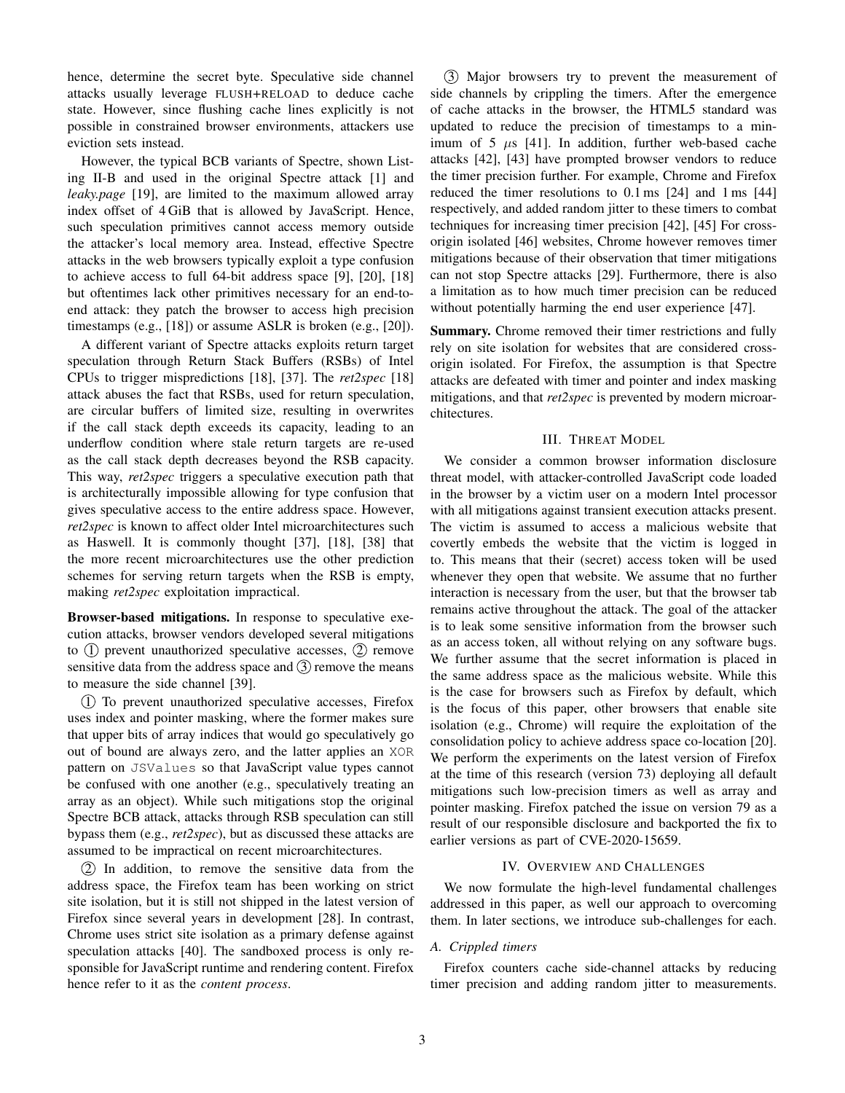hence, determine the secret byte. Speculative side channel attacks usually leverage FLUSH+RELOAD to deduce cache state. However, since flushing cache lines explicitly is not possible in constrained browser environments, attackers use eviction sets instead.

However, the typical BCB variants of Spectre, shown Listing II-B and used in the original Spectre attack [1] and *leaky.page* [19], are limited to the maximum allowed array index offset of 4 GiB that is allowed by JavaScript. Hence, such speculation primitives cannot access memory outside the attacker's local memory area. Instead, effective Spectre attacks in the web browsers typically exploit a type confusion to achieve access to full 64-bit address space [9], [20], [18] but oftentimes lack other primitives necessary for an end-toend attack: they patch the browser to access high precision timestamps (e.g., [18]) or assume ASLR is broken (e.g., [20]).

A different variant of Spectre attacks exploits return target speculation through Return Stack Buffers (RSBs) of Intel CPUs to trigger mispredictions [18], [37]. The *ret2spec* [18] attack abuses the fact that RSBs, used for return speculation, are circular buffers of limited size, resulting in overwrites if the call stack depth exceeds its capacity, leading to an underflow condition where stale return targets are re-used as the call stack depth decreases beyond the RSB capacity. This way, *ret2spec* triggers a speculative execution path that is architecturally impossible allowing for type confusion that gives speculative access to the entire address space. However, *ret2spec* is known to affect older Intel microarchitectures such as Haswell. It is commonly thought [37], [18], [38] that the more recent microarchitectures use the other prediction schemes for serving return targets when the RSB is empty, making *ret2spec* exploitation impractical.

Browser-based mitigations. In response to speculative execution attacks, browser vendors developed several mitigations to  $(1)$  prevent unauthorized speculative accesses,  $(2)$  remove sensitive data from the address space and  $(3)$  remove the means to measure the side channel [39].

1 To prevent unauthorized speculative accesses, Firefox uses index and pointer masking, where the former makes sure that upper bits of array indices that would go speculatively go out of bound are always zero, and the latter applies an XOR pattern on JSValues so that JavaScript value types cannot be confused with one another (e.g., speculatively treating an array as an object). While such mitigations stop the original Spectre BCB attack, attacks through RSB speculation can still bypass them (e.g., *ret2spec*), but as discussed these attacks are assumed to be impractical on recent microarchitectures.

2 In addition, to remove the sensitive data from the address space, the Firefox team has been working on strict site isolation, but it is still not shipped in the latest version of Firefox since several years in development [28]. In contrast, Chrome uses strict site isolation as a primary defense against speculation attacks [40]. The sandboxed process is only responsible for JavaScript runtime and rendering content. Firefox hence refer to it as the *content process*.

3 Major browsers try to prevent the measurement of side channels by crippling the timers. After the emergence of cache attacks in the browser, the HTML5 standard was updated to reduce the precision of timestamps to a minimum of 5  $\mu$ s [41]. In addition, further web-based cache attacks [42], [43] have prompted browser vendors to reduce the timer precision further. For example, Chrome and Firefox reduced the timer resolutions to 0.1 ms [24] and 1 ms [44] respectively, and added random jitter to these timers to combat techniques for increasing timer precision [42], [45] For crossorigin isolated [46] websites, Chrome however removes timer mitigations because of their observation that timer mitigations can not stop Spectre attacks [29]. Furthermore, there is also a limitation as to how much timer precision can be reduced without potentially harming the end user experience [47].

Summary. Chrome removed their timer restrictions and fully rely on site isolation for websites that are considered crossorigin isolated. For Firefox, the assumption is that Spectre attacks are defeated with timer and pointer and index masking mitigations, and that *ret2spec* is prevented by modern microarchitectures.

## III. THREAT MODEL

We consider a common browser information disclosure threat model, with attacker-controlled JavaScript code loaded in the browser by a victim user on a modern Intel processor with all mitigations against transient execution attacks present. The victim is assumed to access a malicious website that covertly embeds the website that the victim is logged in to. This means that their (secret) access token will be used whenever they open that website. We assume that no further interaction is necessary from the user, but that the browser tab remains active throughout the attack. The goal of the attacker is to leak some sensitive information from the browser such as an access token, all without relying on any software bugs. We further assume that the secret information is placed in the same address space as the malicious website. While this is the case for browsers such as Firefox by default, which is the focus of this paper, other browsers that enable site isolation (e.g., Chrome) will require the exploitation of the consolidation policy to achieve address space co-location [20]. We perform the experiments on the latest version of Firefox at the time of this research (version 73) deploying all default mitigations such low-precision timers as well as array and pointer masking. Firefox patched the issue on version 79 as a result of our responsible disclosure and backported the fix to earlier versions as part of CVE-2020-15659.

## IV. OVERVIEW AND CHALLENGES

We now formulate the high-level fundamental challenges addressed in this paper, as well our approach to overcoming them. In later sections, we introduce sub-challenges for each.

# *A. Crippled timers*

Firefox counters cache side-channel attacks by reducing timer precision and adding random jitter to measurements.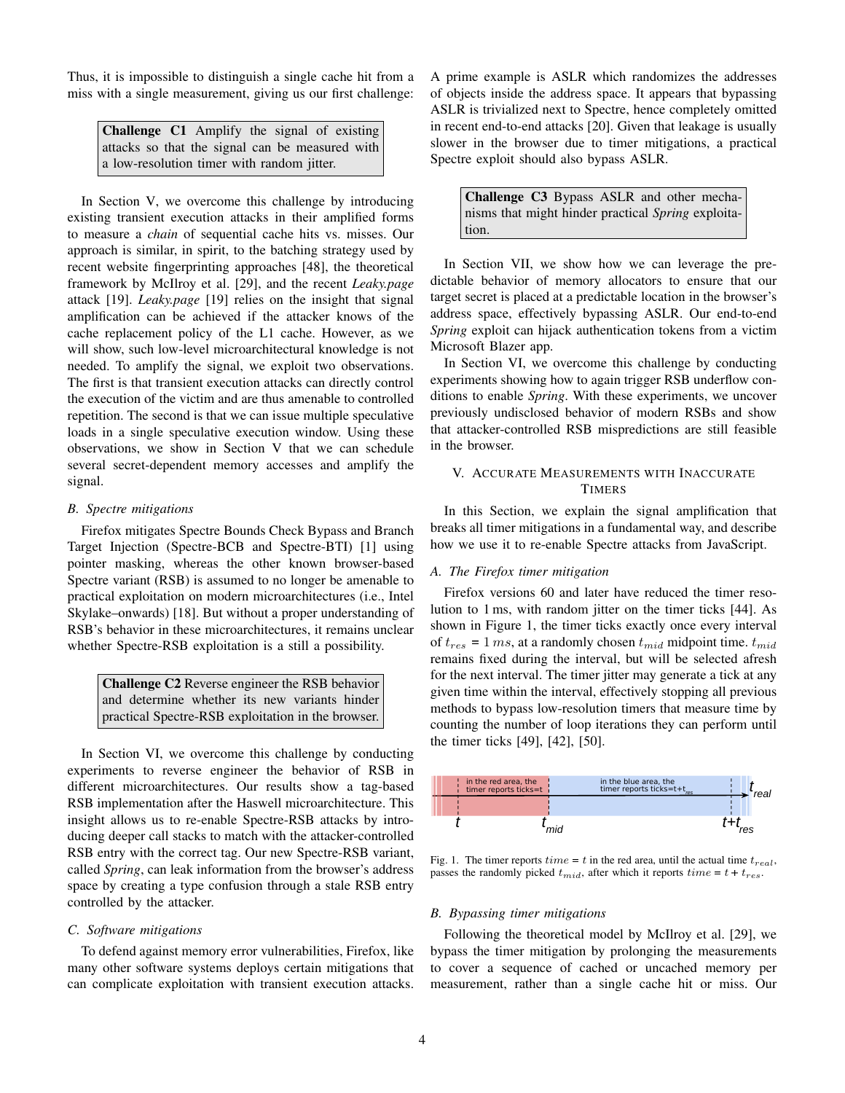Thus, it is impossible to distinguish a single cache hit from a miss with a single measurement, giving us our first challenge:

Challenge C1 Amplify the signal of existing attacks so that the signal can be measured with a low-resolution timer with random jitter.

In Section V, we overcome this challenge by introducing existing transient execution attacks in their amplified forms to measure a *chain* of sequential cache hits vs. misses. Our approach is similar, in spirit, to the batching strategy used by recent website fingerprinting approaches [48], the theoretical framework by McIlroy et al. [29], and the recent *Leaky.page* attack [19]. *Leaky.page* [19] relies on the insight that signal amplification can be achieved if the attacker knows of the cache replacement policy of the L1 cache. However, as we will show, such low-level microarchitectural knowledge is not needed. To amplify the signal, we exploit two observations. The first is that transient execution attacks can directly control the execution of the victim and are thus amenable to controlled repetition. The second is that we can issue multiple speculative loads in a single speculative execution window. Using these observations, we show in Section V that we can schedule several secret-dependent memory accesses and amplify the signal.

## *B. Spectre mitigations*

Firefox mitigates Spectre Bounds Check Bypass and Branch Target Injection (Spectre-BCB and Spectre-BTI) [1] using pointer masking, whereas the other known browser-based Spectre variant (RSB) is assumed to no longer be amenable to practical exploitation on modern microarchitectures (i.e., Intel Skylake–onwards) [18]. But without a proper understanding of RSB's behavior in these microarchitectures, it remains unclear whether Spectre-RSB exploitation is a still a possibility.

Challenge C2 Reverse engineer the RSB behavior and determine whether its new variants hinder practical Spectre-RSB exploitation in the browser.

In Section VI, we overcome this challenge by conducting experiments to reverse engineer the behavior of RSB in different microarchitectures. Our results show a tag-based RSB implementation after the Haswell microarchitecture. This insight allows us to re-enable Spectre-RSB attacks by introducing deeper call stacks to match with the attacker-controlled RSB entry with the correct tag. Our new Spectre-RSB variant, called *Spring*, can leak information from the browser's address space by creating a type confusion through a stale RSB entry controlled by the attacker.

# *C. Software mitigations*

To defend against memory error vulnerabilities, Firefox, like many other software systems deploys certain mitigations that can complicate exploitation with transient execution attacks. A prime example is ASLR which randomizes the addresses of objects inside the address space. It appears that bypassing ASLR is trivialized next to Spectre, hence completely omitted in recent end-to-end attacks [20]. Given that leakage is usually slower in the browser due to timer mitigations, a practical Spectre exploit should also bypass ASLR.

Challenge C3 Bypass ASLR and other mechanisms that might hinder practical *Spring* exploitation.

In Section VII, we show how we can leverage the predictable behavior of memory allocators to ensure that our target secret is placed at a predictable location in the browser's address space, effectively bypassing ASLR. Our end-to-end *Spring* exploit can hijack authentication tokens from a victim Microsoft Blazer app.

In Section VI, we overcome this challenge by conducting experiments showing how to again trigger RSB underflow conditions to enable *Spring*. With these experiments, we uncover previously undisclosed behavior of modern RSBs and show that attacker-controlled RSB mispredictions are still feasible in the browser.

# V. ACCURATE MEASUREMENTS WITH INACCURATE **TIMERS**

In this Section, we explain the signal amplification that breaks all timer mitigations in a fundamental way, and describe how we use it to re-enable Spectre attacks from JavaScript.

## *A. The Firefox timer mitigation*

Firefox versions 60 and later have reduced the timer resolution to 1 ms, with random jitter on the timer ticks [44]. As shown in Figure 1, the timer ticks exactly once every interval of  $t_{res} = 1$  ms, at a randomly chosen  $t_{mid}$  midpoint time.  $t_{mid}$ remains fixed during the interval, but will be selected afresh for the next interval. The timer jitter may generate a tick at any given time within the interval, effectively stopping all previous methods to bypass low-resolution timers that measure time by counting the number of loop iterations they can perform until the timer ticks [49], [42], [50].



Fig. 1. The timer reports  $time = t$  in the red area, until the actual time  $t_{real}$ , passes the randomly picked  $t_{mid}$ , after which it reports  $time = t + t_{res}$ .

## *B. Bypassing timer mitigations*

Following the theoretical model by McIlroy et al. [29], we bypass the timer mitigation by prolonging the measurements to cover a sequence of cached or uncached memory per measurement, rather than a single cache hit or miss. Our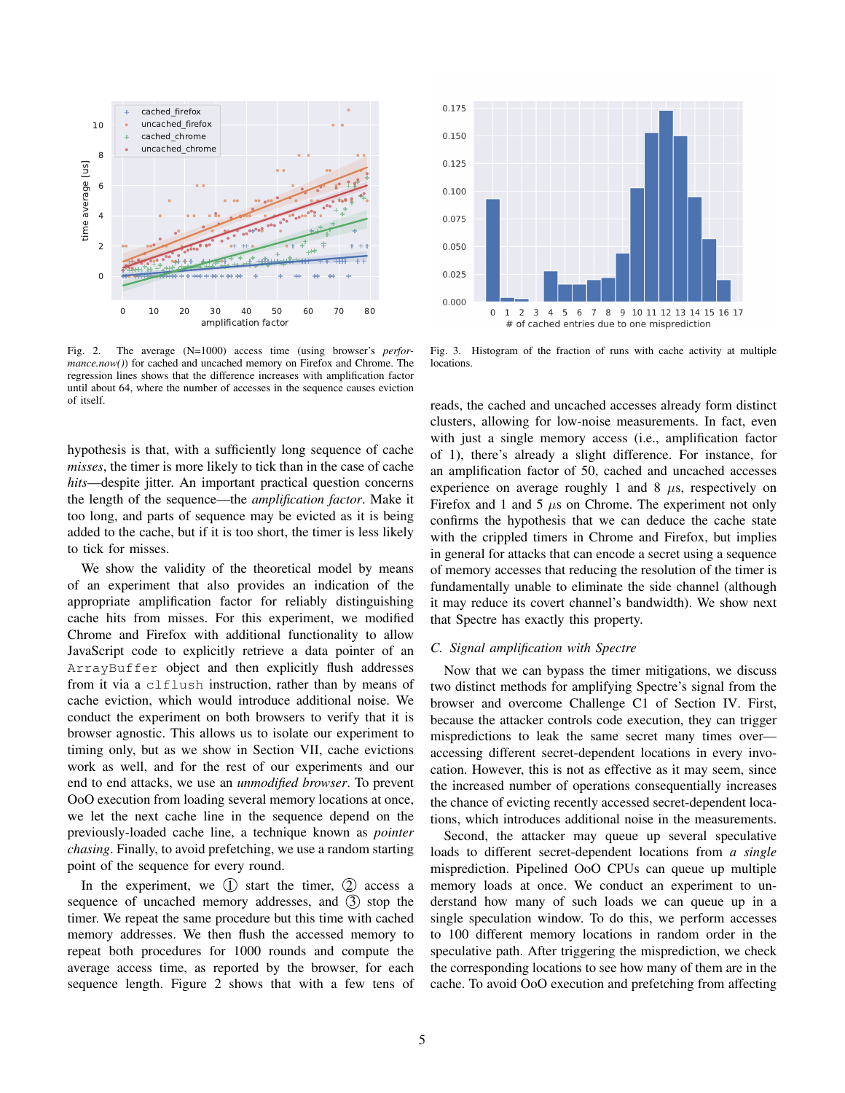

Fig. 2. The average (N=1000) access time (using browser's *performance.now()*) for cached and uncached memory on Firefox and Chrome. The regression lines shows that the difference increases with amplification factor until about 64, where the number of accesses in the sequence causes eviction of itself.

hypothesis is that, with a sufficiently long sequence of cache *misses*, the timer is more likely to tick than in the case of cache *hits*—despite jitter. An important practical question concerns the length of the sequence—the *amplification factor*. Make it too long, and parts of sequence may be evicted as it is being added to the cache, but if it is too short, the timer is less likely to tick for misses.

We show the validity of the theoretical model by means of an experiment that also provides an indication of the appropriate amplification factor for reliably distinguishing cache hits from misses. For this experiment, we modified Chrome and Firefox with additional functionality to allow JavaScript code to explicitly retrieve a data pointer of an ArrayBuffer object and then explicitly flush addresses from it via a clflush instruction, rather than by means of cache eviction, which would introduce additional noise. We conduct the experiment on both browsers to verify that it is browser agnostic. This allows us to isolate our experiment to timing only, but as we show in Section VII, cache evictions work as well, and for the rest of our experiments and our end to end attacks, we use an *unmodified browser*. To prevent OoO execution from loading several memory locations at once, we let the next cache line in the sequence depend on the previously-loaded cache line, a technique known as *pointer chasing*. Finally, to avoid prefetching, we use a random starting point of the sequence for every round.

In the experiment, we  $(1)$  start the timer,  $(2)$  access a sequence of uncached memory addresses, and  $(3)$  stop the timer. We repeat the same procedure but this time with cached memory addresses. We then flush the accessed memory to repeat both procedures for 1000 rounds and compute the average access time, as reported by the browser, for each sequence length. Figure 2 shows that with a few tens of



Fig. 3. Histogram of the fraction of runs with cache activity at multiple locations.

reads, the cached and uncached accesses already form distinct clusters, allowing for low-noise measurements. In fact, even with just a single memory access (i.e., amplification factor of 1), there's already a slight difference. For instance, for an amplification factor of 50, cached and uncached accesses experience on average roughly 1 and 8  $\mu$ s, respectively on Firefox and 1 and 5  $\mu$ s on Chrome. The experiment not only confirms the hypothesis that we can deduce the cache state with the crippled timers in Chrome and Firefox, but implies in general for attacks that can encode a secret using a sequence of memory accesses that reducing the resolution of the timer is fundamentally unable to eliminate the side channel (although it may reduce its covert channel's bandwidth). We show next that Spectre has exactly this property.

# *C. Signal amplification with Spectre*

Now that we can bypass the timer mitigations, we discuss two distinct methods for amplifying Spectre's signal from the browser and overcome Challenge C1 of Section IV. First, because the attacker controls code execution, they can trigger mispredictions to leak the same secret many times over accessing different secret-dependent locations in every invocation. However, this is not as effective as it may seem, since the increased number of operations consequentially increases the chance of evicting recently accessed secret-dependent locations, which introduces additional noise in the measurements.

Second, the attacker may queue up several speculative loads to different secret-dependent locations from *a single* misprediction. Pipelined OoO CPUs can queue up multiple memory loads at once. We conduct an experiment to understand how many of such loads we can queue up in a single speculation window. To do this, we perform accesses to 100 different memory locations in random order in the speculative path. After triggering the misprediction, we check the corresponding locations to see how many of them are in the cache. To avoid OoO execution and prefetching from affecting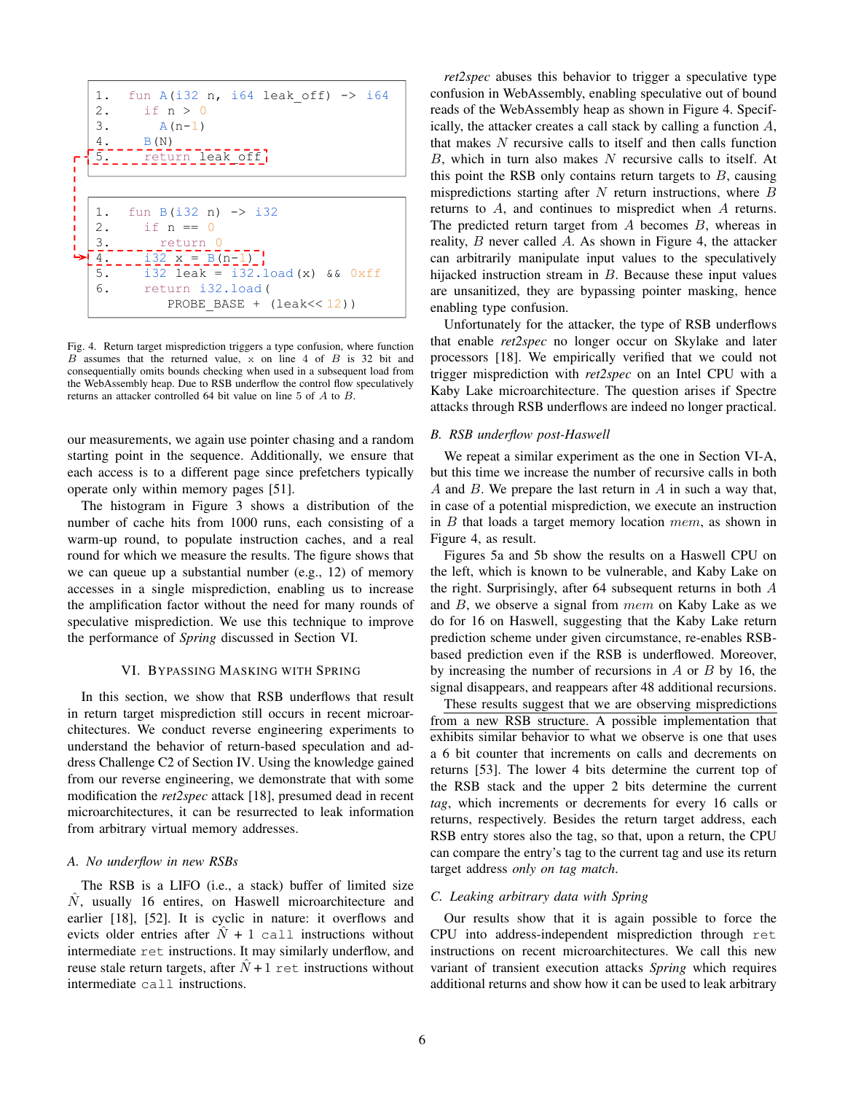

Fig. 4. Return target misprediction triggers a type confusion, where function B assumes that the returned value, x on line 4 of B is 32 bit and consequentially omits bounds checking when used in a subsequent load from the WebAssembly heap. Due to RSB underflow the control flow speculatively returns an attacker controlled 64 bit value on line 5 of A to B.

our measurements, we again use pointer chasing and a random starting point in the sequence. Additionally, we ensure that each access is to a different page since prefetchers typically operate only within memory pages [51].

The histogram in Figure 3 shows a distribution of the number of cache hits from 1000 runs, each consisting of a warm-up round, to populate instruction caches, and a real round for which we measure the results. The figure shows that we can queue up a substantial number (e.g., 12) of memory accesses in a single misprediction, enabling us to increase the amplification factor without the need for many rounds of speculative misprediction. We use this technique to improve the performance of *Spring* discussed in Section VI.

# VI. BYPASSING MASKING WITH SPRING

In this section, we show that RSB underflows that result in return target misprediction still occurs in recent microarchitectures. We conduct reverse engineering experiments to understand the behavior of return-based speculation and address Challenge C2 of Section IV. Using the knowledge gained from our reverse engineering, we demonstrate that with some modification the *ret2spec* attack [18], presumed dead in recent microarchitectures, it can be resurrected to leak information from arbitrary virtual memory addresses.

## *A. No underflow in new RSBs*

The RSB is a LIFO (i.e., a stack) buffer of limited size  $N$ , usually 16 entires, on Haswell microarchitecture and earlier [18], [52]. It is cyclic in nature: it overflows and evicts older entries after  $\hat{N} + 1$  call instructions without intermediate ret instructions. It may similarly underflow, and reuse stale return targets, after  $\hat{N}$  + 1 ret instructions without intermediate call instructions.

*ret2spec* abuses this behavior to trigger a speculative type confusion in WebAssembly, enabling speculative out of bound reads of the WebAssembly heap as shown in Figure 4. Specifically, the attacker creates a call stack by calling a function A, that makes  $N$  recursive calls to itself and then calls function  $B$ , which in turn also makes  $N$  recursive calls to itself. At this point the RSB only contains return targets to  $B$ , causing mispredictions starting after  $N$  return instructions, where  $B$ returns to A, and continues to mispredict when A returns. The predicted return target from  $A$  becomes  $B$ , whereas in reality, B never called A. As shown in Figure 4, the attacker can arbitrarily manipulate input values to the speculatively hijacked instruction stream in B. Because these input values are unsanitized, they are bypassing pointer masking, hence enabling type confusion.

Unfortunately for the attacker, the type of RSB underflows that enable *ret2spec* no longer occur on Skylake and later processors [18]. We empirically verified that we could not trigger misprediction with *ret2spec* on an Intel CPU with a Kaby Lake microarchitecture. The question arises if Spectre attacks through RSB underflows are indeed no longer practical.

## *B. RSB underflow post-Haswell*

We repeat a similar experiment as the one in Section VI-A, but this time we increase the number of recursive calls in both  $A$  and  $B$ . We prepare the last return in  $A$  in such a way that, in case of a potential misprediction, we execute an instruction in  $B$  that loads a target memory location  $mem$ , as shown in Figure 4, as result.

Figures 5a and 5b show the results on a Haswell CPU on the left, which is known to be vulnerable, and Kaby Lake on the right. Surprisingly, after 64 subsequent returns in both A and  $B$ , we observe a signal from  $mem$  on Kaby Lake as we do for 16 on Haswell, suggesting that the Kaby Lake return prediction scheme under given circumstance, re-enables RSBbased prediction even if the RSB is underflowed. Moreover, by increasing the number of recursions in  $A$  or  $B$  by 16, the signal disappears, and reappears after 48 additional recursions.

These results suggest that we are observing mispredictions from a new RSB structure. A possible implementation that exhibits similar behavior to what we observe is one that uses a 6 bit counter that increments on calls and decrements on returns [53]. The lower 4 bits determine the current top of the RSB stack and the upper 2 bits determine the current *tag*, which increments or decrements for every 16 calls or returns, respectively. Besides the return target address, each RSB entry stores also the tag, so that, upon a return, the CPU can compare the entry's tag to the current tag and use its return target address *only on tag match*.

## *C. Leaking arbitrary data with Spring*

Our results show that it is again possible to force the CPU into address-independent misprediction through ret instructions on recent microarchitectures. We call this new variant of transient execution attacks *Spring* which requires additional returns and show how it can be used to leak arbitrary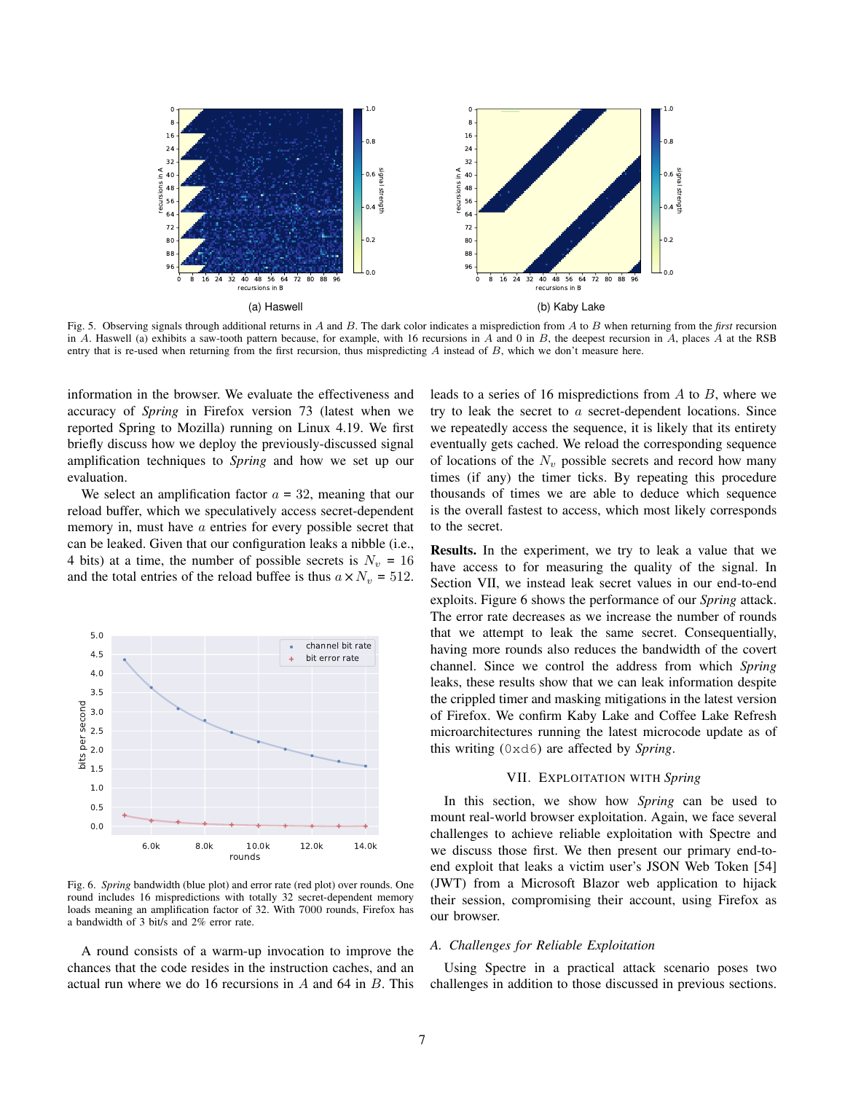

Fig. 5. Observing signals through additional returns in A and B. The dark color indicates a misprediction from A to B when returning from the *first* recursion in A. Haswell (a) exhibits a saw-tooth pattern because, for example, with 16 recursions in A and 0 in B, the deepest recursion in A, places A at the RSB entry that is re-used when returning from the first recursion, thus mispredicting  $A$  instead of  $B$ , which we don't measure here.

information in the browser. We evaluate the effectiveness and accuracy of *Spring* in Firefox version 73 (latest when we reported Spring to Mozilla) running on Linux 4.19. We first briefly discuss how we deploy the previously-discussed signal amplification techniques to *Spring* and how we set up our evaluation.

We select an amplification factor  $a = 32$ , meaning that our reload buffer, which we speculatively access secret-dependent memory in, must have a entries for every possible secret that can be leaked. Given that our configuration leaks a nibble (i.e., 4 bits) at a time, the number of possible secrets is  $N_v = 16$ and the total entries of the reload buffee is thus  $a \times N_v = 512$ .



Fig. 6. *Spring* bandwidth (blue plot) and error rate (red plot) over rounds. One round includes 16 mispredictions with totally 32 secret-dependent memory loads meaning an amplification factor of 32. With 7000 rounds, Firefox has a bandwidth of 3 bit/s and 2% error rate.

A round consists of a warm-up invocation to improve the chances that the code resides in the instruction caches, and an actual run where we do 16 recursions in  $\ddot{A}$  and 64 in  $\ddot{B}$ . This leads to a series of 16 mispredictions from  $A$  to  $B$ , where we try to leak the secret to a secret-dependent locations. Since we repeatedly access the sequence, it is likely that its entirety eventually gets cached. We reload the corresponding sequence of locations of the  $N_v$  possible secrets and record how many times (if any) the timer ticks. By repeating this procedure thousands of times we are able to deduce which sequence is the overall fastest to access, which most likely corresponds to the secret.

Results. In the experiment, we try to leak a value that we have access to for measuring the quality of the signal. In Section VII, we instead leak secret values in our end-to-end exploits. Figure 6 shows the performance of our *Spring* attack. The error rate decreases as we increase the number of rounds that we attempt to leak the same secret. Consequentially, having more rounds also reduces the bandwidth of the covert channel. Since we control the address from which *Spring* leaks, these results show that we can leak information despite the crippled timer and masking mitigations in the latest version of Firefox. We confirm Kaby Lake and Coffee Lake Refresh microarchitectures running the latest microcode update as of this writing (0xd6) are affected by *Spring*.

#### VII. EXPLOITATION WITH *Spring*

In this section, we show how *Spring* can be used to mount real-world browser exploitation. Again, we face several challenges to achieve reliable exploitation with Spectre and we discuss those first. We then present our primary end-toend exploit that leaks a victim user's JSON Web Token [54] (JWT) from a Microsoft Blazor web application to hijack their session, compromising their account, using Firefox as our browser.

#### *A. Challenges for Reliable Exploitation*

Using Spectre in a practical attack scenario poses two challenges in addition to those discussed in previous sections.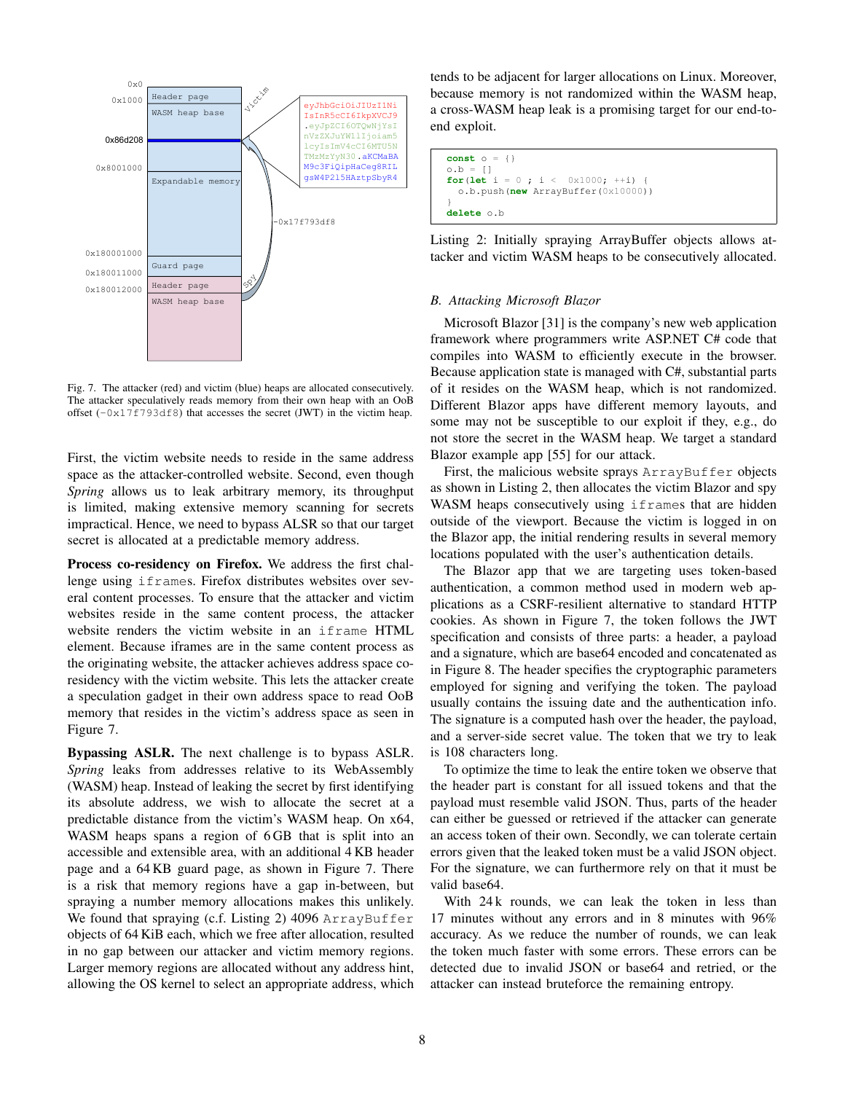

Fig. 7. The attacker (red) and victim (blue) heaps are allocated consecutively. The attacker speculatively reads memory from their own heap with an OoB offset  $(-0x17f793df8)$  that accesses the secret (JWT) in the victim heap.

First, the victim website needs to reside in the same address space as the attacker-controlled website. Second, even though *Spring* allows us to leak arbitrary memory, its throughput is limited, making extensive memory scanning for secrets impractical. Hence, we need to bypass ALSR so that our target secret is allocated at a predictable memory address.

Process co-residency on Firefox. We address the first challenge using iframes. Firefox distributes websites over several content processes. To ensure that the attacker and victim websites reside in the same content process, the attacker website renders the victim website in an iframe HTML element. Because iframes are in the same content process as the originating website, the attacker achieves address space coresidency with the victim website. This lets the attacker create a speculation gadget in their own address space to read OoB memory that resides in the victim's address space as seen in Figure 7.

Bypassing ASLR. The next challenge is to bypass ASLR. *Spring* leaks from addresses relative to its WebAssembly (WASM) heap. Instead of leaking the secret by first identifying its absolute address, we wish to allocate the secret at a predictable distance from the victim's WASM heap. On x64, WASM heaps spans a region of 6 GB that is split into an accessible and extensible area, with an additional 4 KB header page and a 64 KB guard page, as shown in Figure 7. There is a risk that memory regions have a gap in-between, but spraying a number memory allocations makes this unlikely. We found that spraying (c.f. Listing 2) 4096 ArrayBuffer objects of 64 KiB each, which we free after allocation, resulted in no gap between our attacker and victim memory regions. Larger memory regions are allocated without any address hint, allowing the OS kernel to select an appropriate address, which

tends to be adjacent for larger allocations on Linux. Moreover, because memory is not randomized within the WASM heap, a cross-WASM heap leak is a promising target for our end-toend exploit.

```
const o = {}
0.b = [1]for(let i = 0 ; i < 0 \times 1000; ++i) {
  o.b.push(new ArrayBuffer(0x10000))
}
delete o.b
```
Listing 2: Initially spraying ArrayBuffer objects allows attacker and victim WASM heaps to be consecutively allocated.

#### *B. Attacking Microsoft Blazor*

Microsoft Blazor [31] is the company's new web application framework where programmers write ASP.NET C# code that compiles into WASM to efficiently execute in the browser. Because application state is managed with C#, substantial parts of it resides on the WASM heap, which is not randomized. Different Blazor apps have different memory layouts, and some may not be susceptible to our exploit if they, e.g., do not store the secret in the WASM heap. We target a standard Blazor example app [55] for our attack.

First, the malicious website sprays ArrayBuffer objects as shown in Listing 2, then allocates the victim Blazor and spy WASM heaps consecutively using if rames that are hidden outside of the viewport. Because the victim is logged in on the Blazor app, the initial rendering results in several memory locations populated with the user's authentication details.

The Blazor app that we are targeting uses token-based authentication, a common method used in modern web applications as a CSRF-resilient alternative to standard HTTP cookies. As shown in Figure 7, the token follows the JWT specification and consists of three parts: a header, a payload and a signature, which are base64 encoded and concatenated as in Figure 8. The header specifies the cryptographic parameters employed for signing and verifying the token. The payload usually contains the issuing date and the authentication info. The signature is a computed hash over the header, the payload, and a server-side secret value. The token that we try to leak is 108 characters long.

To optimize the time to leak the entire token we observe that the header part is constant for all issued tokens and that the payload must resemble valid JSON. Thus, parts of the header can either be guessed or retrieved if the attacker can generate an access token of their own. Secondly, we can tolerate certain errors given that the leaked token must be a valid JSON object. For the signature, we can furthermore rely on that it must be valid base64.

With 24 k rounds, we can leak the token in less than 17 minutes without any errors and in 8 minutes with 96% accuracy. As we reduce the number of rounds, we can leak the token much faster with some errors. These errors can be detected due to invalid JSON or base64 and retried, or the attacker can instead bruteforce the remaining entropy.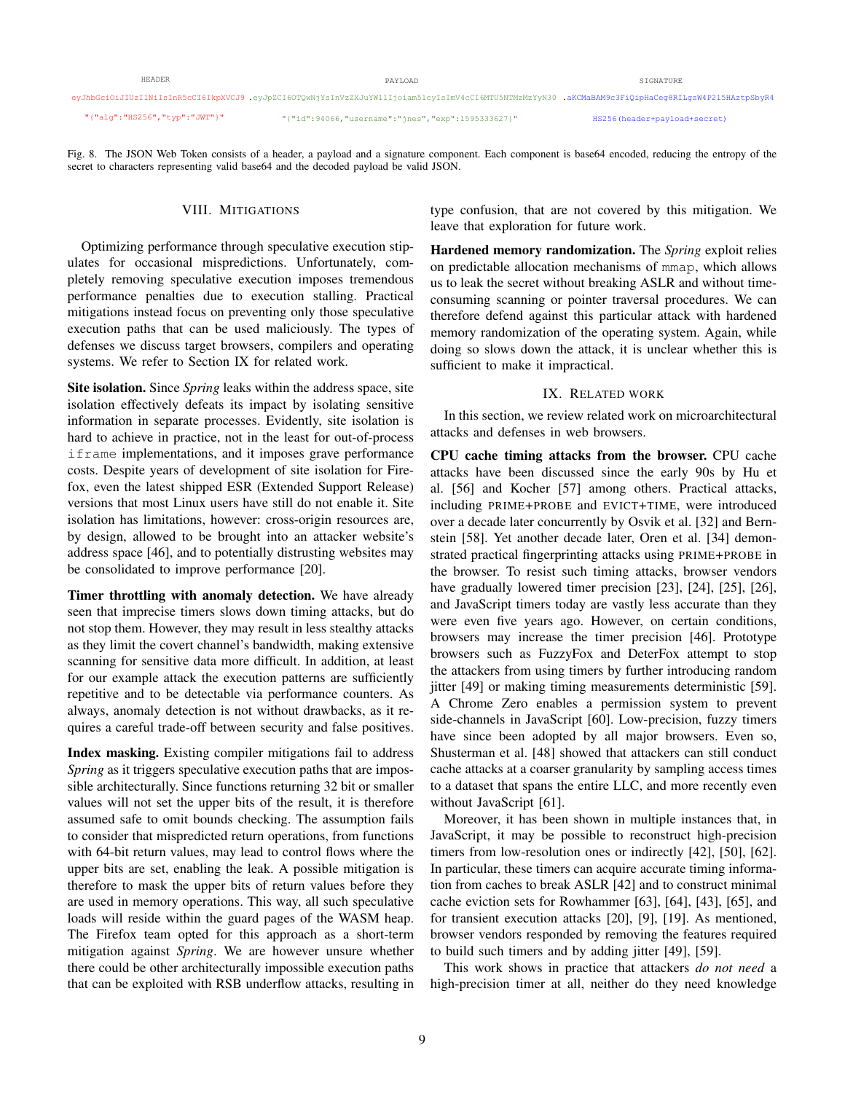| HEADER                        | PAYLOAD                                                                                                                                           | SIGNATURE                    |
|-------------------------------|---------------------------------------------------------------------------------------------------------------------------------------------------|------------------------------|
|                               | eyJhbGciOiJIUzI1NiIsInR5cCI6IkpXVCJ9 eyJpZCI6OTQwNjYsInVzZXJuYW1lIjoiam51cyIsImV4cCI6MTU5NTMzMzYyN30 .aKCMaBAM9c3FiQipHaCeq8RILqsW4P215HAztpSbyR4 |                              |
| "{"alq":"HS256","typ":"JWT"}" | "{"id":94066,"username":"jnes","exp":1595333627}"                                                                                                 | HS256(header+payload+secret) |

Fig. 8. The JSON Web Token consists of a header, a payload and a signature component. Each component is base64 encoded, reducing the entropy of the secret to characters representing valid base64 and the decoded payload be valid JSON.

## VIII. MITIGATIONS

Optimizing performance through speculative execution stipulates for occasional mispredictions. Unfortunately, completely removing speculative execution imposes tremendous performance penalties due to execution stalling. Practical mitigations instead focus on preventing only those speculative execution paths that can be used maliciously. The types of defenses we discuss target browsers, compilers and operating systems. We refer to Section IX for related work.

Site isolation. Since *Spring* leaks within the address space, site isolation effectively defeats its impact by isolating sensitive information in separate processes. Evidently, site isolation is hard to achieve in practice, not in the least for out-of-process iframe implementations, and it imposes grave performance costs. Despite years of development of site isolation for Firefox, even the latest shipped ESR (Extended Support Release) versions that most Linux users have still do not enable it. Site isolation has limitations, however: cross-origin resources are, by design, allowed to be brought into an attacker website's address space [46], and to potentially distrusting websites may be consolidated to improve performance [20].

Timer throttling with anomaly detection. We have already seen that imprecise timers slows down timing attacks, but do not stop them. However, they may result in less stealthy attacks as they limit the covert channel's bandwidth, making extensive scanning for sensitive data more difficult. In addition, at least for our example attack the execution patterns are sufficiently repetitive and to be detectable via performance counters. As always, anomaly detection is not without drawbacks, as it requires a careful trade-off between security and false positives.

Index masking. Existing compiler mitigations fail to address *Spring* as it triggers speculative execution paths that are impossible architecturally. Since functions returning 32 bit or smaller values will not set the upper bits of the result, it is therefore assumed safe to omit bounds checking. The assumption fails to consider that mispredicted return operations, from functions with 64-bit return values, may lead to control flows where the upper bits are set, enabling the leak. A possible mitigation is therefore to mask the upper bits of return values before they are used in memory operations. This way, all such speculative loads will reside within the guard pages of the WASM heap. The Firefox team opted for this approach as a short-term mitigation against *Spring*. We are however unsure whether there could be other architecturally impossible execution paths that can be exploited with RSB underflow attacks, resulting in type confusion, that are not covered by this mitigation. We leave that exploration for future work.

Hardened memory randomization. The *Spring* exploit relies on predictable allocation mechanisms of mmap, which allows us to leak the secret without breaking ASLR and without timeconsuming scanning or pointer traversal procedures. We can therefore defend against this particular attack with hardened memory randomization of the operating system. Again, while doing so slows down the attack, it is unclear whether this is sufficient to make it impractical.

## IX. RELATED WORK

In this section, we review related work on microarchitectural attacks and defenses in web browsers.

CPU cache timing attacks from the browser. CPU cache attacks have been discussed since the early 90s by Hu et al. [56] and Kocher [57] among others. Practical attacks, including PRIME+PROBE and EVICT+TIME, were introduced over a decade later concurrently by Osvik et al. [32] and Bernstein [58]. Yet another decade later, Oren et al. [34] demonstrated practical fingerprinting attacks using PRIME+PROBE in the browser. To resist such timing attacks, browser vendors have gradually lowered timer precision [23], [24], [25], [26], and JavaScript timers today are vastly less accurate than they were even five years ago. However, on certain conditions, browsers may increase the timer precision [46]. Prototype browsers such as FuzzyFox and DeterFox attempt to stop the attackers from using timers by further introducing random jitter [49] or making timing measurements deterministic [59]. A Chrome Zero enables a permission system to prevent side-channels in JavaScript [60]. Low-precision, fuzzy timers have since been adopted by all major browsers. Even so, Shusterman et al. [48] showed that attackers can still conduct cache attacks at a coarser granularity by sampling access times to a dataset that spans the entire LLC, and more recently even without JavaScript [61].

Moreover, it has been shown in multiple instances that, in JavaScript, it may be possible to reconstruct high-precision timers from low-resolution ones or indirectly [42], [50], [62]. In particular, these timers can acquire accurate timing information from caches to break ASLR [42] and to construct minimal cache eviction sets for Rowhammer [63], [64], [43], [65], and for transient execution attacks [20], [9], [19]. As mentioned, browser vendors responded by removing the features required to build such timers and by adding jitter [49], [59].

This work shows in practice that attackers *do not need* a high-precision timer at all, neither do they need knowledge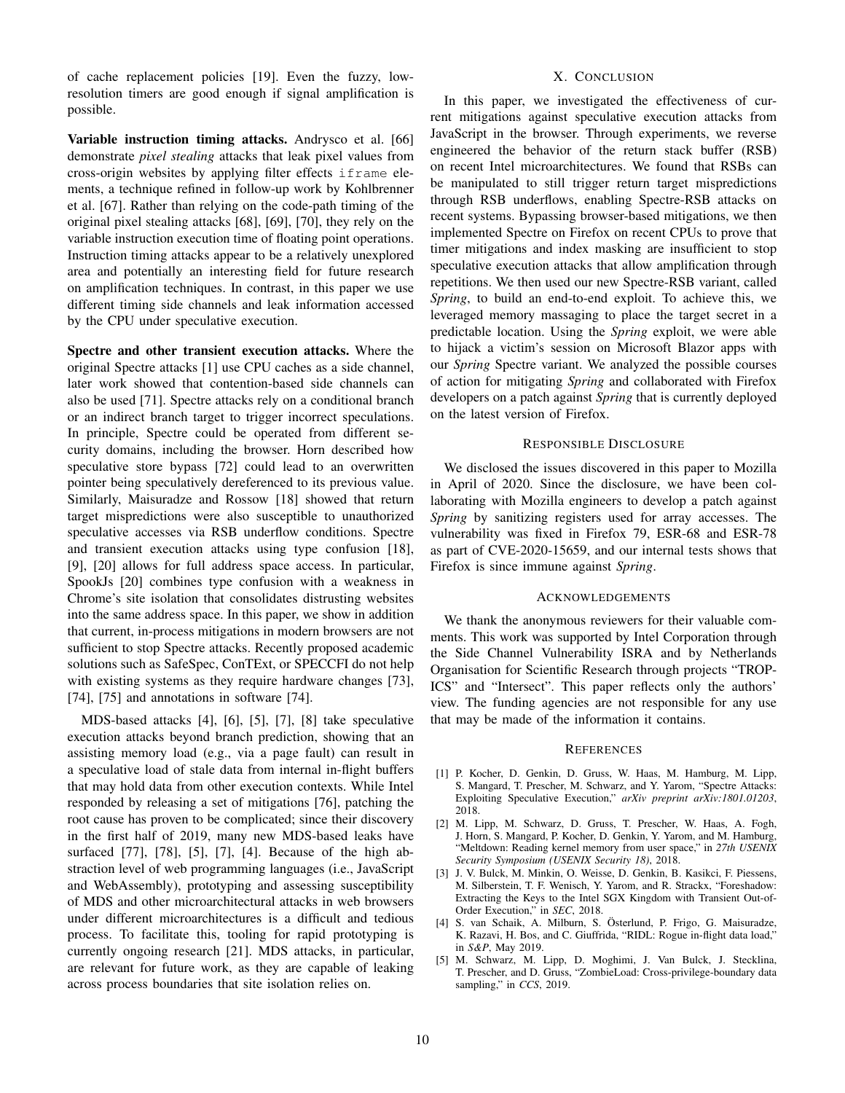of cache replacement policies [19]. Even the fuzzy, lowresolution timers are good enough if signal amplification is possible.

Variable instruction timing attacks. Andrysco et al. [66] demonstrate *pixel stealing* attacks that leak pixel values from cross-origin websites by applying filter effects iframe elements, a technique refined in follow-up work by Kohlbrenner et al. [67]. Rather than relying on the code-path timing of the original pixel stealing attacks [68], [69], [70], they rely on the variable instruction execution time of floating point operations. Instruction timing attacks appear to be a relatively unexplored area and potentially an interesting field for future research on amplification techniques. In contrast, in this paper we use different timing side channels and leak information accessed by the CPU under speculative execution.

Spectre and other transient execution attacks. Where the original Spectre attacks [1] use CPU caches as a side channel, later work showed that contention-based side channels can also be used [71]. Spectre attacks rely on a conditional branch or an indirect branch target to trigger incorrect speculations. In principle, Spectre could be operated from different security domains, including the browser. Horn described how speculative store bypass [72] could lead to an overwritten pointer being speculatively dereferenced to its previous value. Similarly, Maisuradze and Rossow [18] showed that return target mispredictions were also susceptible to unauthorized speculative accesses via RSB underflow conditions. Spectre and transient execution attacks using type confusion [18], [9], [20] allows for full address space access. In particular, SpookJs [20] combines type confusion with a weakness in Chrome's site isolation that consolidates distrusting websites into the same address space. In this paper, we show in addition that current, in-process mitigations in modern browsers are not sufficient to stop Spectre attacks. Recently proposed academic solutions such as SafeSpec, ConTExt, or SPECCFI do not help with existing systems as they require hardware changes [73], [74], [75] and annotations in software [74].

MDS-based attacks [4], [6], [5], [7], [8] take speculative execution attacks beyond branch prediction, showing that an assisting memory load (e.g., via a page fault) can result in a speculative load of stale data from internal in-flight buffers that may hold data from other execution contexts. While Intel responded by releasing a set of mitigations [76], patching the root cause has proven to be complicated; since their discovery in the first half of 2019, many new MDS-based leaks have surfaced [77], [78], [5], [7], [4]. Because of the high abstraction level of web programming languages (i.e., JavaScript and WebAssembly), prototyping and assessing susceptibility of MDS and other microarchitectural attacks in web browsers under different microarchitectures is a difficult and tedious process. To facilitate this, tooling for rapid prototyping is currently ongoing research [21]. MDS attacks, in particular, are relevant for future work, as they are capable of leaking across process boundaries that site isolation relies on.

# X. CONCLUSION

In this paper, we investigated the effectiveness of current mitigations against speculative execution attacks from JavaScript in the browser. Through experiments, we reverse engineered the behavior of the return stack buffer (RSB) on recent Intel microarchitectures. We found that RSBs can be manipulated to still trigger return target mispredictions through RSB underflows, enabling Spectre-RSB attacks on recent systems. Bypassing browser-based mitigations, we then implemented Spectre on Firefox on recent CPUs to prove that timer mitigations and index masking are insufficient to stop speculative execution attacks that allow amplification through repetitions. We then used our new Spectre-RSB variant, called *Spring*, to build an end-to-end exploit. To achieve this, we leveraged memory massaging to place the target secret in a predictable location. Using the *Spring* exploit, we were able to hijack a victim's session on Microsoft Blazor apps with our *Spring* Spectre variant. We analyzed the possible courses of action for mitigating *Spring* and collaborated with Firefox developers on a patch against *Spring* that is currently deployed on the latest version of Firefox.

#### RESPONSIBLE DISCLOSURE

We disclosed the issues discovered in this paper to Mozilla in April of 2020. Since the disclosure, we have been collaborating with Mozilla engineers to develop a patch against *Spring* by sanitizing registers used for array accesses. The vulnerability was fixed in Firefox 79, ESR-68 and ESR-78 as part of CVE-2020-15659, and our internal tests shows that Firefox is since immune against *Spring*.

#### ACKNOWLEDGEMENTS

We thank the anonymous reviewers for their valuable comments. This work was supported by Intel Corporation through the Side Channel Vulnerability ISRA and by Netherlands Organisation for Scientific Research through projects "TROP-ICS" and "Intersect". This paper reflects only the authors' view. The funding agencies are not responsible for any use that may be made of the information it contains.

#### **REFERENCES**

- [1] P. Kocher, D. Genkin, D. Gruss, W. Haas, M. Hamburg, M. Lipp, S. Mangard, T. Prescher, M. Schwarz, and Y. Yarom, "Spectre Attacks: Exploiting Speculative Execution," *arXiv preprint arXiv:1801.01203*, 2018.
- [2] M. Lipp, M. Schwarz, D. Gruss, T. Prescher, W. Haas, A. Fogh, J. Horn, S. Mangard, P. Kocher, D. Genkin, Y. Yarom, and M. Hamburg, "Meltdown: Reading kernel memory from user space," in *27th USENIX Security Symposium (USENIX Security 18)*, 2018.
- [3] J. V. Bulck, M. Minkin, O. Weisse, D. Genkin, B. Kasikci, F. Piessens, M. Silberstein, T. F. Wenisch, Y. Yarom, and R. Strackx, "Foreshadow: Extracting the Keys to the Intel SGX Kingdom with Transient Out-of-Order Execution," in *SEC*, 2018.
- [4] S. van Schaik, A. Milburn, S. Österlund, P. Frigo, G. Maisuradze, K. Razavi, H. Bos, and C. Giuffrida, "RIDL: Rogue in-flight data load," in *S&P*, May 2019.
- [5] M. Schwarz, M. Lipp, D. Moghimi, J. Van Bulck, J. Stecklina, T. Prescher, and D. Gruss, "ZombieLoad: Cross-privilege-boundary data sampling," in *CCS*, 2019.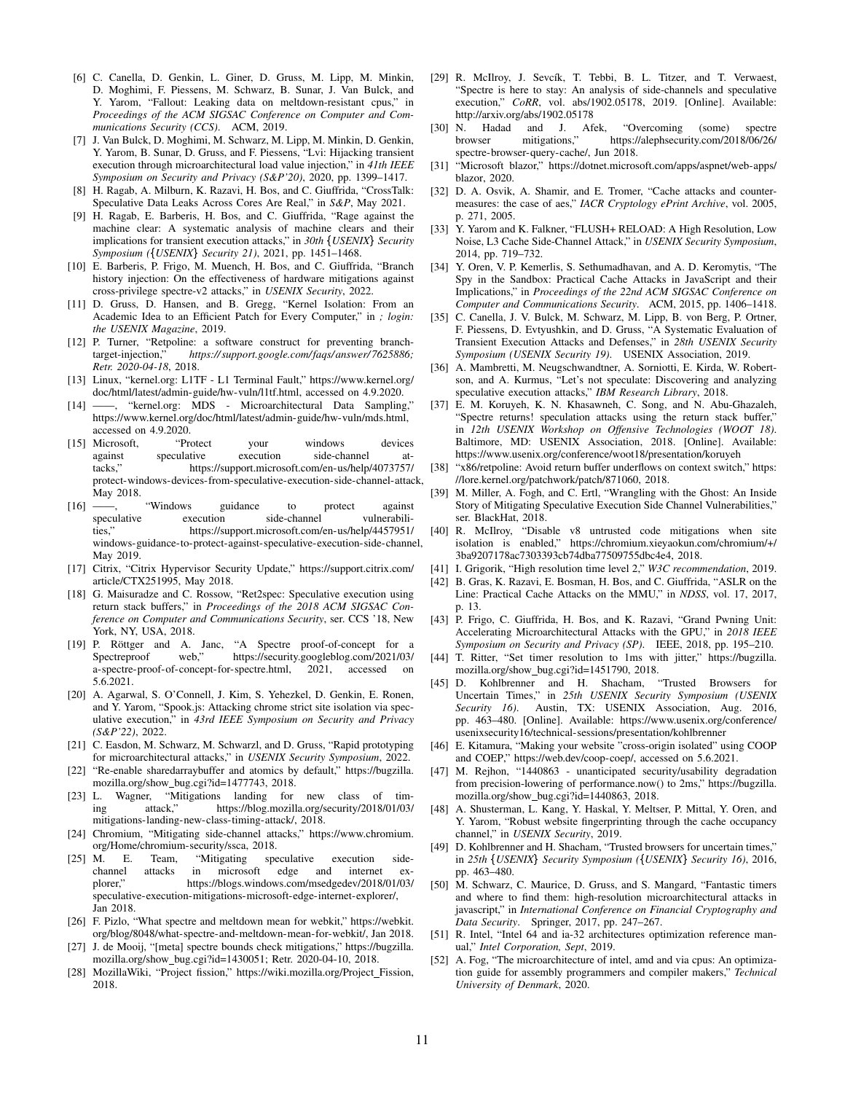- [6] C. Canella, D. Genkin, L. Giner, D. Gruss, M. Lipp, M. Minkin, D. Moghimi, F. Piessens, M. Schwarz, B. Sunar, J. Van Bulck, and Y. Yarom, "Fallout: Leaking data on meltdown-resistant cpus," in *Proceedings of the ACM SIGSAC Conference on Computer and Communications Security (CCS)*. ACM, 2019.
- [7] J. Van Bulck, D. Moghimi, M. Schwarz, M. Lipp, M. Minkin, D. Genkin, Y. Yarom, B. Sunar, D. Gruss, and F. Piessens, "Lvi: Hijacking transient execution through microarchitectural load value injection," in *41th IEEE Symposium on Security and Privacy (S&P'20)*, 2020, pp. 1399–1417.
- [8] H. Ragab, A. Milburn, K. Razavi, H. Bos, and C. Giuffrida, "CrossTalk: Speculative Data Leaks Across Cores Are Real," in *S&P*, May 2021.
- [9] H. Ragab, E. Barberis, H. Bos, and C. Giuffrida, "Rage against the machine clear: A systematic analysis of machine clears and their implications for transient execution attacks," in 30th {USENIX} Security *Symposium ({USENIX} Security 21), 2021, pp. 1451–1468.*
- [10] E. Barberis, P. Frigo, M. Muench, H. Bos, and C. Giuffrida, "Branch history injection: On the effectiveness of hardware mitigations against cross-privilege spectre-v2 attacks," in *USENIX Security*, 2022.
- [11] D. Gruss, D. Hansen, and B. Gregg, "Kernel Isolation: From an Academic Idea to an Efficient Patch for Every Computer," in *; login: the USENIX Magazine*, 2019.
- [12] P. Turner, "Retpoline: a software construct for preventing branchtarget-injection," *https:// support.google.com/faqs/ answer/ 7625886; Retr. 2020-04-18*, 2018.
- [13] Linux, "kernel.org: L1TF L1 Terminal Fault," https://www.kernel.org/ doc/html/latest/admin-guide/hw-vuln/l1tf.html, accessed on 4.9.2020.
- [14] ——, "kernel.org: MDS Microarchitectural Data Sampling," https://www.kernel.org/doc/html/latest/admin-guide/hw-vuln/mds.html, accessed on 4.9.2020.
- [15] Microsoft, "Protect your windows devices against speculative execution side-channel attacks," https://support.microsoft.com/en-us/help/4073757/ protect-windows-devices-from-speculative-execution-side-channel-attack, May 2018.
- [16] ——, "Windows guidance to protect against speculative execution side-channel vulnerabilities," https://support.microsoft.com/en-us/help/4457951/ windows-guidance-to-protect-against-speculative-execution-side-channel, May 2019.
- [17] Citrix, "Citrix Hypervisor Security Update," https://support.citrix.com/ article/CTX251995, May 2018.
- [18] G. Maisuradze and C. Rossow, "Ret2spec: Speculative execution using return stack buffers," in *Proceedings of the 2018 ACM SIGSAC Conference on Computer and Communications Security*, ser. CCS '18, New York, NY, USA, 2018.
- [19] P. Röttger and A. Janc, "A Spectre proof-of-concept for a Spectreproof web," https://security.googleblog.com/2021/03/ a-spectre-proof-of-concept-for-spectre.html, 2021, accessed on 5.6.2021.
- [20] A. Agarwal, S. O'Connell, J. Kim, S. Yehezkel, D. Genkin, E. Ronen, and Y. Yarom, "Spook.js: Attacking chrome strict site isolation via speculative execution," in *43rd IEEE Symposium on Security and Privacy (S&P'22)*, 2022.
- [21] C. Easdon, M. Schwarz, M. Schwarzl, and D. Gruss, "Rapid prototyping for microarchitectural attacks," in *USENIX Security Symposium*, 2022.
- [22] "Re-enable sharedarraybuffer and atomics by default," https://bugzilla. mozilla.org/show bug.cgi?id=1477743, 2018.
- [23] L. Wagner, "Mitigations landing for new class of timing attack," https://blog.mozilla.org/security/2018/01/03/ mitigations-landing-new-class-timing-attack/, 2018.
- [24] Chromium, "Mitigating side-channel attacks," https://www.chromium. org/Home/chromium-security/ssca, 2018.
- [25] M. E. Team, "Mitigating speculative execution sidechannel attacks in microsoft edge and internet ex-<br>plorer," https://blogs.windows.com/msedgedev/2018/01/03/ https://blogs.windows.com/msedgedev/2018/01/03/ speculative-execution-mitigations-microsoft-edge-internet-explorer/, Jan 2018.
- [26] F. Pizlo, "What spectre and meltdown mean for webkit," https://webkit. org/blog/8048/what-spectre-and-meltdown-mean-for-webkit/, Jan 2018.
- [27] J. de Mooij, "[meta] spectre bounds check mitigations," https://bugzilla. mozilla.org/show bug.cgi?id=1430051; Retr. 2020-04-10, 2018.
- [28] MozillaWiki, "Project fission," https://wiki.mozilla.org/Project Fission, 2018.
- [29] R. McIlroy, J. Sevcík, T. Tebbi, B. L. Titzer, and T. Verwaest, "Spectre is here to stay: An analysis of side-channels and speculative execution," *CoRR*, vol. abs/1902.05178, 2019. [Online]. Available: http://arxiv.org/abs/1902.05178
- [30] N. Hadad and J. Afek, "Overcoming (some) spectre browser mitigations," https://alephsecurity.com/2018/06/26/ spectre-browser-query-cache/, Jun 2018.
- [31] "Microsoft blazor," https://dotnet.microsoft.com/apps/aspnet/web-apps/ blazor, 2020.
- [32] D. A. Osvik, A. Shamir, and E. Tromer, "Cache attacks and countermeasures: the case of aes," *IACR Cryptology ePrint Archive*, vol. 2005, p. 271, 2005.
- [33] Y. Yarom and K. Falkner, "FLUSH+ RELOAD: A High Resolution, Low Noise, L3 Cache Side-Channel Attack," in *USENIX Security Symposium*, 2014, pp. 719–732.
- [34] Y. Oren, V. P. Kemerlis, S. Sethumadhavan, and A. D. Keromytis, "The Spy in the Sandbox: Practical Cache Attacks in JavaScript and their Implications," in *Proceedings of the 22nd ACM SIGSAC Conference on Computer and Communications Security*. ACM, 2015, pp. 1406–1418.
- [35] C. Canella, J. V. Bulck, M. Schwarz, M. Lipp, B. von Berg, P. Ortner, F. Piessens, D. Evtyushkin, and D. Gruss, "A Systematic Evaluation of Transient Execution Attacks and Defenses," in *28th USENIX Security Symposium (USENIX Security 19)*. USENIX Association, 2019.
- [36] A. Mambretti, M. Neugschwandtner, A. Sorniotti, E. Kirda, W. Robertson, and A. Kurmus, "Let's not speculate: Discovering and analyzing speculative execution attacks," *IBM Research Library*, 2018.
- [37] E. M. Koruyeh, K. N. Khasawneh, C. Song, and N. Abu-Ghazaleh, "Spectre returns! speculation attacks using the return stack buffer," in *12th USENIX Workshop on Offensive Technologies (WOOT 18)*. Baltimore, MD: USENIX Association, 2018. [Online]. Available: https://www.usenix.org/conference/woot18/presentation/koruyeh
- [38] "x86/retpoline: Avoid return buffer underflows on context switch," https: //lore.kernel.org/patchwork/patch/871060, 2018.
- [39] M. Miller, A. Fogh, and C. Ertl, "Wrangling with the Ghost: An Inside Story of Mitigating Speculative Execution Side Channel Vulnerabilities," ser. BlackHat, 2018.
- [40] R. McIlroy, "Disable v8 untrusted code mitigations when site isolation is enabled," https://chromium.xieyaokun.com/chromium/+/ 3ba9207178ac7303393cb74dba77509755dbc4e4, 2018.
- [41] I. Grigorik, "High resolution time level 2," *W3C recommendation*, 2019.
- [42] B. Gras, K. Razavi, E. Bosman, H. Bos, and C. Giuffrida, "ASLR on the Line: Practical Cache Attacks on the MMU," in *NDSS*, vol. 17, 2017, p. 13.
- [43] P. Frigo, C. Giuffrida, H. Bos, and K. Razavi, "Grand Pwning Unit: Accelerating Microarchitectural Attacks with the GPU," in *2018 IEEE Symposium on Security and Privacy (SP)*. IEEE, 2018, pp. 195–210.
- [44] T. Ritter, "Set timer resolution to 1ms with jitter," https://bugzilla. mozilla.org/show\_bug.cgi?id=1451790, 2018.<br>D. Kohlbrenner and H. Shacham. "Trusted Browsers for
- [45] D. Kohlbrenner and H. Shacham, Uncertain Times," in *25th USENIX Security Symposium (USENIX Security 16)*. Austin, TX: USENIX Association, Aug. 2016, pp. 463–480. [Online]. Available: https://www.usenix.org/conference/ usenixsecurity16/technical-sessions/presentation/kohlbrenner
- [46] E. Kitamura, "Making your website "cross-origin isolated" using COOP and COEP," https://web.dev/coop-coep/, accessed on 5.6.2021.
- M. Rejhon, "1440863 unanticipated security/usability degradation from precision-lowering of performance.now() to 2ms," https://bugzilla. mozilla.org/show bug.cgi?id=1440863, 2018.
- [48] A. Shusterman, L. Kang, Y. Haskal, Y. Meltser, P. Mittal, Y. Oren, and Y. Yarom, "Robust website fingerprinting through the cache occupancy channel," in *USENIX Security*, 2019.
- [49] D. Kohlbrenner and H. Shacham, "Trusted browsers for uncertain times," in 25th {USENIX} Security Symposium ({USENIX} Security 16), 2016, pp. 463–480.
- [50] M. Schwarz, C. Maurice, D. Gruss, and S. Mangard, "Fantastic timers and where to find them: high-resolution microarchitectural attacks in javascript," in *International Conference on Financial Cryptography and Data Security*. Springer, 2017, pp. 247–267.
- [51] R. Intel, "Intel 64 and ia-32 architectures optimization reference manual," *Intel Corporation, Sept*, 2019.
- [52] A. Fog, "The microarchitecture of intel, amd and via cpus: An optimization guide for assembly programmers and compiler makers," *Technical University of Denmark*, 2020.